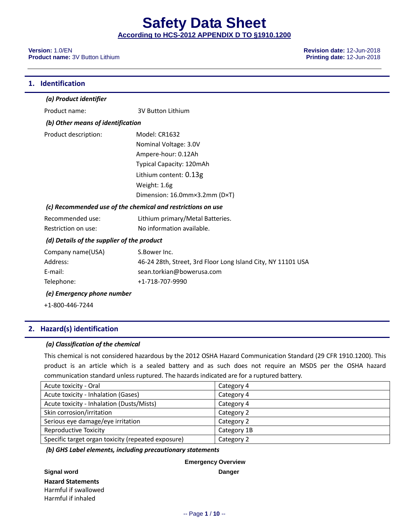#### **Version:** 1.0/EN **Revision date:** 12-Jun-2018 **Product name:** 3V Button Lithium **Printing date:** 12-Jun-2018

| 1. | <b>Identification</b>                      |                                                              |
|----|--------------------------------------------|--------------------------------------------------------------|
|    | (a) Product identifier                     |                                                              |
|    | Product name:                              | <b>3V Button Lithium</b>                                     |
|    | (b) Other means of identification          |                                                              |
|    | Product description:                       | Model: CR1632                                                |
|    |                                            | Nominal Voltage: 3.0V                                        |
|    |                                            | Ampere-hour: 0.12Ah                                          |
|    |                                            | Typical Capacity: 120mAh                                     |
|    |                                            | Lithium content: 0.13g                                       |
|    |                                            | Weight: 1.6g                                                 |
|    |                                            | Dimension: 16.0mm×3.2mm (D×T)                                |
|    |                                            | (c) Recommended use of the chemical and restrictions on use  |
|    | Recommended use:                           | Lithium primary/Metal Batteries.                             |
|    | Restriction on use:                        | No information available.                                    |
|    | (d) Details of the supplier of the product |                                                              |
|    | Company name(USA)                          | S.Bower Inc.                                                 |
|    | Address:                                   | 46-24 28th, Street, 3rd Floor Long Island City, NY 11101 USA |
|    | E-mail:                                    | sean.torkian@bowerusa.com                                    |
|    | Telephone:                                 | +1-718-707-9990                                              |
|    | (e) Emergency phone number                 |                                                              |
|    | +1-800-446-7244                            |                                                              |

# **2. Hazard(s) identification**

#### *(a) Classification of the chemical*

This chemical is not considered hazardous by the 2012 OSHA Hazard Communication Standard (29 CFR 1910.1200). This product is an article which is a sealed battery and as such does not require an MSDS per the OSHA hazard communication standard unless ruptured. The hazards indicated are for a ruptured battery.

| Acute toxicity - Oral                              | Category 4  |
|----------------------------------------------------|-------------|
| Acute toxicity - Inhalation (Gases)                | Category 4  |
| Acute toxicity - Inhalation (Dusts/Mists)          | Category 4  |
| Skin corrosion/irritation                          | Category 2  |
| Serious eye damage/eye irritation                  | Category 2  |
| <b>Reproductive Toxicity</b>                       | Category 1B |
| Specific target organ toxicity (repeated exposure) | Category 2  |

*(b) GHS Label elements, including precautionary statements*

**Emergency Overview**

**Signal word Danger Hazard Statements** Harmful if swallowed Harmful if inhaled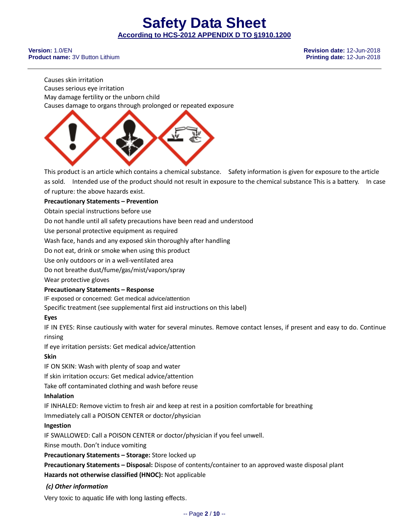**Version:** 1.0/EN **Revision date:** 12-Jun-2018 **Product name:** 3V Button Lithium **Printing date:** 12-Jun-2018

Causes skin irritation Causes serious eye irritation May damage fertility or the unborn child Causes damage to organs through prolonged or repeated exposure



This product is an article which contains a chemical substance. Safety information is given for exposure to the article as sold. Intended use of the product should not result in exposure to the chemical substance This is a battery. In case of rupture: the above hazards exist.

## **Precautionary Statements – Prevention**

Obtain special instructions before use

Do not handle until all safety precautions have been read and understood

Use personal protective equipment as required

Wash face, hands and any exposed skin thoroughly after handling

Do not eat, drink or smoke when using this product

Use only outdoors or in a well-ventilated area

Do not breathe dust/fume/gas/mist/vapors/spray

Wear protective gloves

#### **Precautionary Statements – Response**

IF exposed or concerned: Get medical advice/attention

Specific treatment (see supplemental first aid instructions on this label)

# **Eyes**

IF IN EYES: Rinse cautiously with water for several minutes. Remove contact lenses, if present and easy to do. Continue rinsing

If eye irritation persists: Get medical advice/attention

# **Skin**

IF ON SKIN: Wash with plenty of soap and water

If skin irritation occurs: Get medical advice/attention

Take off contaminated clothing and wash before reuse

#### **Inhalation**

IF INHALED: Remove victim to fresh air and keep at rest in a position comfortable for breathing

Immediately call a POISON CENTER or doctor/physician

# **Ingestion**

IF SWALLOWED: Call a POISON CENTER or doctor/physician if you feel unwell.

Rinse mouth. Don't induce vomiting

**Precautionary Statements – Storage:** Store locked up

**Precautionary Statements – Disposal:** Dispose of contents/container to an approved waste disposal plant **Hazards not otherwise classified (HNOC):** Not applicable

# *(c) Other information*

Very toxic to aquatic life with long lasting effects.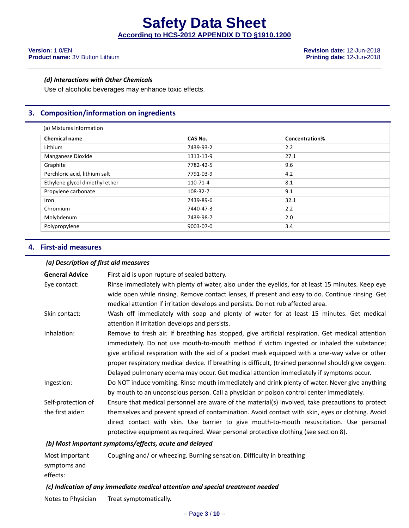#### **Version:** 1.0/EN **Revision date:** 12-Jun-2018 **Product name:** 3V Button Lithium **Printing date:** 12-Jun-2018

#### *(d) Interactions with Other Chemicals*

Use of alcoholic beverages may enhance toxic effects.

# **3. Composition/information on ingredients**

| (a) Mixtures information       |           |                |  |
|--------------------------------|-----------|----------------|--|
| <b>Chemical name</b>           | CAS No.   | Concentration% |  |
| Lithium                        | 7439-93-2 | 2.2            |  |
| Manganese Dioxide              | 1313-13-9 | 27.1           |  |
| Graphite                       | 7782-42-5 | 9.6            |  |
| Perchloric acid, lithium salt  | 7791-03-9 | 4.2            |  |
| Ethylene glycol dimethyl ether | 110-71-4  | 8.1            |  |
| Propylene carbonate            | 108-32-7  | 9.1            |  |
| Iron                           | 7439-89-6 | 32.1           |  |
| Chromium                       | 7440-47-3 | 2.2            |  |
| Molybdenum                     | 7439-98-7 | 2.0            |  |
| Polypropylene                  | 9003-07-0 | 3.4            |  |

## **4. First-aid measures**

#### *(a) Description of first aid measures*

| <b>General Advice</b>                                  | First aid is upon rupture of sealed battery.                                                          |  |
|--------------------------------------------------------|-------------------------------------------------------------------------------------------------------|--|
| Eye contact:                                           | Rinse immediately with plenty of water, also under the eyelids, for at least 15 minutes. Keep eye     |  |
|                                                        | wide open while rinsing. Remove contact lenses, if present and easy to do. Continue rinsing. Get      |  |
|                                                        | medical attention if irritation develops and persists. Do not rub affected area.                      |  |
| Skin contact:                                          | Wash off immediately with soap and plenty of water for at least 15 minutes. Get medical               |  |
|                                                        | attention if irritation develops and persists.                                                        |  |
| Inhalation:                                            | Remove to fresh air. If breathing has stopped, give artificial respiration. Get medical attention     |  |
|                                                        | immediately. Do not use mouth-to-mouth method if victim ingested or inhaled the substance;            |  |
|                                                        | give artificial respiration with the aid of a pocket mask equipped with a one-way valve or other      |  |
|                                                        | proper respiratory medical device. If breathing is difficult, (trained personnel should) give oxygen. |  |
|                                                        | Delayed pulmonary edema may occur. Get medical attention immediately if symptoms occur.               |  |
| Ingestion:                                             | Do NOT induce vomiting. Rinse mouth immediately and drink plenty of water. Never give anything        |  |
|                                                        | by mouth to an unconscious person. Call a physician or poison control center immediately.             |  |
| Self-protection of                                     | Ensure that medical personnel are aware of the material(s) involved, take precautions to protect      |  |
| the first aider:                                       | themselves and prevent spread of contamination. Avoid contact with skin, eyes or clothing. Avoid      |  |
|                                                        | direct contact with skin. Use barrier to give mouth-to-mouth resuscitation. Use personal              |  |
|                                                        | protective equipment as required. Wear personal protective clothing (see section 8).                  |  |
| (b) Most important symptoms/effects, acute and delayed |                                                                                                       |  |

| Most important | Coughing and/ or wheezing. Burning sensation. Difficulty in breathing |
|----------------|-----------------------------------------------------------------------|
| symptoms and   |                                                                       |
| effects:       |                                                                       |

#### *(c) Indication of any immediate medical attention and special treatment needed*

Notes to Physician Treat symptomatically.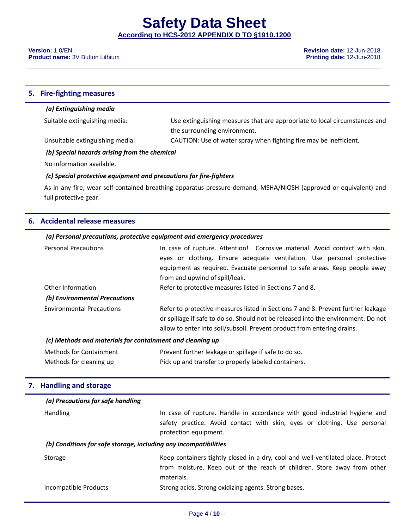**Version:** 1.0/EN **Revision date:** 12-Jun-2018 **Product name:** 3V Button Lithium **Printing date:** 12-Jun-2018

#### **5. Fire-fighting measures**

#### *(a) Extinguishing media*

Suitable extinguishing media: Use extinguishing measures that are appropriate to local circumstances and the surrounding environment.

Unsuitable extinguishing media: CAUTION: Use of water spray when fighting fire may be inefficient.

#### *(b) Special hazards arising from the chemical*

No information available.

#### *(c) Special protective equipment and precautions for fire-fighters*

As in any fire, wear self-contained breathing apparatus pressure-demand, MSHA/NIOSH (approved or equivalent) and full protective gear.

# **6. Accidental release measures**

## *(a) Personal precautions, protective equipment and emergency procedures*

| <b>Personal Precautions</b>                                                                                                                                                                                                                                                          | In case of rupture. Attention! Corrosive material. Avoid contact with skin,<br>eyes or clothing. Ensure adequate ventilation. Use personal protective<br>equipment as required. Evacuate personnel to safe areas. Keep people away<br>from and upwind of spill/leak. |  |
|--------------------------------------------------------------------------------------------------------------------------------------------------------------------------------------------------------------------------------------------------------------------------------------|----------------------------------------------------------------------------------------------------------------------------------------------------------------------------------------------------------------------------------------------------------------------|--|
| Other Information<br>(b) Environmental Precautions                                                                                                                                                                                                                                   | Refer to protective measures listed in Sections 7 and 8.                                                                                                                                                                                                             |  |
| Refer to protective measures listed in Sections 7 and 8. Prevent further leakage<br><b>Environmental Precautions</b><br>or spillage if safe to do so. Should not be released into the environment. Do not<br>allow to enter into soil/subsoil. Prevent product from entering drains. |                                                                                                                                                                                                                                                                      |  |
| (c) Methods and materials for containment and cleaning up                                                                                                                                                                                                                            |                                                                                                                                                                                                                                                                      |  |

| <b>Methods for Containment</b> | Prevent further leakage or spillage if safe to do so. |
|--------------------------------|-------------------------------------------------------|
| Methods for cleaning up        | Pick up and transfer to properly labeled containers.  |

# **7. Handling and storage**

| (a) Precautions for safe handling                                |                                                                                                                                                                                |  |
|------------------------------------------------------------------|--------------------------------------------------------------------------------------------------------------------------------------------------------------------------------|--|
| <b>Handling</b>                                                  | In case of rupture. Handle in accordance with good industrial hygiene and<br>safety practice. Avoid contact with skin, eyes or clothing. Use personal<br>protection equipment. |  |
| (b) Conditions for safe storage, including any incompatibilities |                                                                                                                                                                                |  |
| Storage                                                          | Keep containers tightly closed in a dry, cool and well-ventilated place. Protect<br>from moisture. Keep out of the reach of children. Store away from other<br>materials.      |  |
| Incompatible Products                                            | Strong acids. Strong oxidizing agents. Strong bases.                                                                                                                           |  |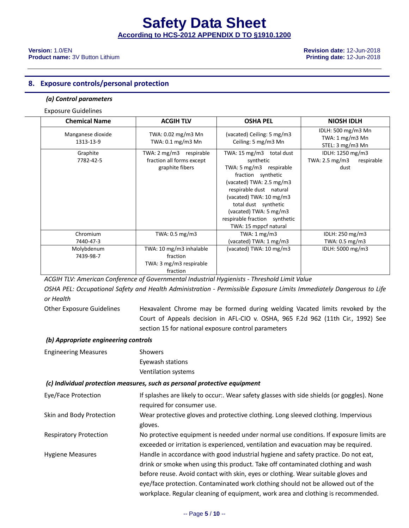#### **Version:** 1.0/EN **Revision date:** 12-Jun-2018 **Product name:** 3V Button Lithium **Printing date:** 12-Jun-2018

#### **8. Exposure controls/personal protection**

#### *(a) Control parameters*

#### Exposure Guidelines

| <b>Chemical Name</b>           | <b>ACGIH TLV</b>                                                           | <b>OSHA PEL</b>                                                                                                                                                                                                                                                                      | <b>NIOSH IDLH</b>                                                  |
|--------------------------------|----------------------------------------------------------------------------|--------------------------------------------------------------------------------------------------------------------------------------------------------------------------------------------------------------------------------------------------------------------------------------|--------------------------------------------------------------------|
| Manganese dioxide<br>1313-13-9 | TWA: 0.02 mg/m3 Mn<br>TWA: 0.1 mg/m3 Mn                                    | (vacated) Ceiling: 5 mg/m3<br>Ceiling: 5 mg/m3 Mn                                                                                                                                                                                                                                    | IDLH: 500 mg/m3 Mn<br>TWA: 1 mg/m3 Mn<br>STEL: 3 mg/m3 Mn          |
| Graphite<br>7782-42-5          | TWA: 2 mg/m3 respirable<br>fraction all forms except<br>graphite fibers    | TWA: 15 mg/m3 total dust<br>synthetic<br>TWA: 5 mg/m3 respirable<br>fraction synthetic<br>(vacated) TWA: 2.5 mg/m3<br>respirable dust natural<br>(vacated) TWA: 10 mg/m3<br>total dust synthetic<br>(vacated) TWA: 5 mg/m3<br>respirable fraction synthetic<br>TWA: 15 mppcf natural | IDLH: 1250 mg/m3<br>TWA: $2.5 \text{ mg/m3}$<br>respirable<br>dust |
| Chromium<br>7440-47-3          | TWA: 0.5 mg/m3                                                             | TWA: $1 \text{ mg/m}$ 3<br>(vacated) TWA: 1 mg/m3                                                                                                                                                                                                                                    | IDLH: 250 mg/m3<br>TWA: 0.5 mg/m3                                  |
| Molybdenum<br>7439-98-7        | TWA: 10 mg/m3 inhalable<br>fraction<br>TWA: 3 mg/m3 respirable<br>fraction | (vacated) TWA: 10 mg/m3                                                                                                                                                                                                                                                              | IDLH: 5000 mg/m3                                                   |

*ACGIH TLV: American Conference of Governmental Industrial Hygienists - Threshold Limit Value*

*OSHA PEL: Occupational Safety and Health Administration - Permissible Exposure Limits Immediately Dangerous to Life or Health*

Other Exposure Guidelines Hexavalent Chrome may be formed during welding Vacated limits revoked by the Court of Appeals decision in AFL-CIO v. OSHA, 965 F.2d 962 (11th Cir., 1992) See section 15 for national exposure control parameters

#### *(b) Appropriate engineering controls*

Engineering Measures Showers Eyewash stations Ventilation systems

#### *(c) Individual protection measures, such as personal protective equipment*

| Eye/Face Protection           | If splashes are likely to occur:. Wear safety glasses with side shields (or goggles). None<br>required for consumer use.                                              |
|-------------------------------|-----------------------------------------------------------------------------------------------------------------------------------------------------------------------|
| Skin and Body Protection      | Wear protective gloves and protective clothing. Long sleeved clothing. Impervious<br>gloves.                                                                          |
| <b>Respiratory Protection</b> | No protective equipment is needed under normal use conditions. If exposure limits are                                                                                 |
|                               | exceeded or irritation is experienced, ventilation and evacuation may be required.                                                                                    |
| <b>Hygiene Measures</b>       | Handle in accordance with good industrial hygiene and safety practice. Do not eat,<br>drink or smoke when using this product. Take off contaminated clothing and wash |
|                               | before reuse. Avoid contact with skin, eyes or clothing. Wear suitable gloves and                                                                                     |
|                               | eye/face protection. Contaminated work clothing should not be allowed out of the                                                                                      |
|                               | workplace. Regular cleaning of equipment, work area and clothing is recommended.                                                                                      |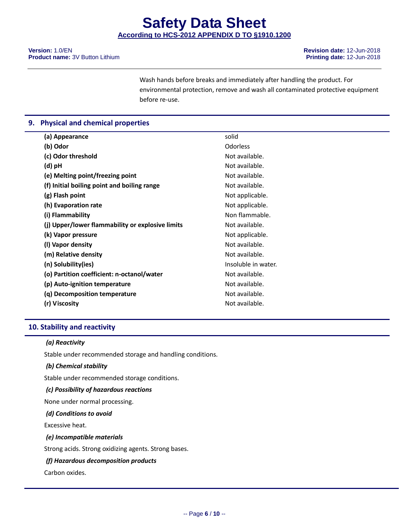Wash hands before breaks and immediately after handling the product. For environmental protection, remove and wash all contaminated protective equipment before re-use.

# **9. Physical and chemical properties**

| (a) Appearance                                   | solid               |
|--------------------------------------------------|---------------------|
| (b) Odor                                         | <b>Odorless</b>     |
| (c) Odor threshold                               | Not available.      |
| (d) pH                                           | Not available.      |
| (e) Melting point/freezing point                 | Not available.      |
| (f) Initial boiling point and boiling range      | Not available.      |
| (g) Flash point                                  | Not applicable.     |
| (h) Evaporation rate                             | Not applicable.     |
| (i) Flammability                                 | Non flammable.      |
| (j) Upper/lower flammability or explosive limits | Not available.      |
| (k) Vapor pressure                               | Not applicable.     |
| (I) Vapor density                                | Not available.      |
| (m) Relative density                             | Not available.      |
| (n) Solubility(ies)                              | Insoluble in water. |
| (o) Partition coefficient: n-octanol/water       | Not available.      |
| (p) Auto-ignition temperature                    | Not available.      |
| (q) Decomposition temperature                    | Not available.      |
| (r) Viscosity                                    | Not available.      |
|                                                  |                     |

# **10. Stability and reactivity**

#### *(a) Reactivity*

Stable under recommended storage and handling conditions.

#### *(b) Chemical stability*

Stable under recommended storage conditions.

#### *(c) Possibility of hazardous reactions*

None under normal processing.

#### *(d) Conditions to avoid*

Excessive heat.

#### *(e) Incompatible materials*

Strong acids. Strong oxidizing agents. Strong bases.

#### *(f) Hazardous decomposition products*

Carbon oxides.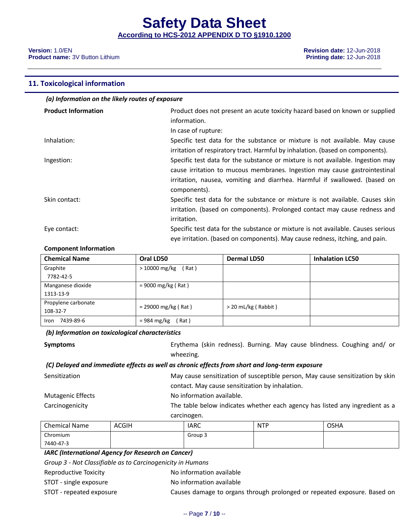**Version:** 1.0/EN **Revision date:** 12-Jun-2018 **Product name:** 3V Button Lithium **Printing date:** 12-Jun-2018

#### **11. Toxicological information**

| (a) Information on the likely routes of exposure |                                                                                                                                                                                                                                                             |  |  |
|--------------------------------------------------|-------------------------------------------------------------------------------------------------------------------------------------------------------------------------------------------------------------------------------------------------------------|--|--|
| <b>Product Information</b>                       | Product does not present an acute toxicity hazard based on known or supplied<br>information.<br>In case of rupture:                                                                                                                                         |  |  |
| Inhalation:                                      | Specific test data for the substance or mixture is not available. May cause<br>irritation of respiratory tract. Harmful by inhalation. (based on components).                                                                                               |  |  |
| Ingestion:                                       | Specific test data for the substance or mixture is not available. Ingestion may<br>cause irritation to mucous membranes. Ingestion may cause gastrointestinal<br>irritation, nausea, vomiting and diarrhea. Harmful if swallowed. (based on<br>components). |  |  |
| Skin contact:                                    | Specific test data for the substance or mixture is not available. Causes skin<br>irritation. (based on components). Prolonged contact may cause redness and<br>irritation.                                                                                  |  |  |
| Eye contact:                                     | Specific test data for the substance or mixture is not available. Causes serious<br>eye irritation. (based on components). May cause redness, itching, and pain.                                                                                            |  |  |

#### **Component Information**

| <b>Chemical Name</b> | Oral LD50                      | <b>Dermal LD50</b>    | <b>Inhalation LC50</b> |
|----------------------|--------------------------------|-----------------------|------------------------|
| Graphite             | > 10000 mg/kg<br>(Rat)         |                       |                        |
| 7782-42-5            |                                |                       |                        |
| Manganese dioxide    | $= 9000$ mg/kg (Rat)           |                       |                        |
| 1313-13-9            |                                |                       |                        |
| Propylene carbonate  | $= 29000$ mg/kg (Rat)          | $>$ 20 mL/kg (Rabbit) |                        |
| 108-32-7             |                                |                       |                        |
| 7439-89-6<br>Iron    | $= 984 \text{ mg/kg}$<br>(Rat) |                       |                        |

## *(b) Information on toxicological characteristics*

| Symptoms | Erythema (skin redness). Burning. May cause blindness. Coughing and/ or |
|----------|-------------------------------------------------------------------------|
|          | wheezing.                                                               |

# *(C) Delayed and immediate effects as well as chronic effects from short and long-term exposure*

| Sensitization            | May cause sensitization of susceptible person, May cause sensitization by skin |
|--------------------------|--------------------------------------------------------------------------------|
|                          | contact. May cause sensitization by inhalation.                                |
| <b>Mutagenic Effects</b> | No information available.                                                      |
| Carcinogenicity          | The table below indicates whether each agency has listed any ingredient as a   |
|                          | carcinogen.                                                                    |

| Chemical Name | <b>ACGIH</b> | <b>IARC</b> | <b>NTP</b> | <b>OSHA</b> |
|---------------|--------------|-------------|------------|-------------|
| Chromium      |              | Group 3     |            |             |
| 7440-47-3     |              |             |            |             |

# *IARC (International Agency for Research on Cancer)*

*Group 3 - Not Classifiable as to Carcinogenicity in Humans*

- Reproductive Toxicity **No information available**
- STOT single exposure No information available
- STOT repeated exposure Causes damage to organs through prolonged or repeated exposure. Based on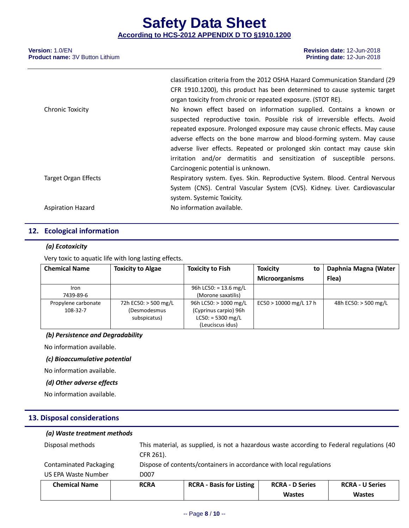|                             | classification criteria from the 2012 OSHA Hazard Communication Standard (29 |
|-----------------------------|------------------------------------------------------------------------------|
|                             | CFR 1910.1200), this product has been determined to cause systemic target    |
|                             | organ toxicity from chronic or repeated exposure. (STOT RE).                 |
| <b>Chronic Toxicity</b>     | No known effect based on information supplied. Contains a known or           |
|                             | suspected reproductive toxin. Possible risk of irreversible effects. Avoid   |
|                             | repeated exposure. Prolonged exposure may cause chronic effects. May cause   |
|                             | adverse effects on the bone marrow and blood-forming system. May cause       |
|                             | adverse liver effects. Repeated or prolonged skin contact may cause skin     |
|                             | irritation and/or dermatitis and sensitization of susceptible persons.       |
|                             | Carcinogenic potential is unknown.                                           |
| <b>Target Organ Effects</b> | Respiratory system. Eyes. Skin. Reproductive System. Blood. Central Nervous  |
|                             | System (CNS). Central Vascular System (CVS). Kidney. Liver. Cardiovascular   |
|                             | system. Systemic Toxicity.                                                   |
| <b>Aspiration Hazard</b>    | No information available.                                                    |
|                             |                                                                              |

# **12. Ecological information**

# *(a) Ecotoxicity*

Very toxic to aquatic life with long lasting effects.

| <b>Chemical Name</b> | <b>Toxicity to Algae</b> | <b>Toxicity to Fish</b> | <b>Toxicity</b><br>to    | Daphnia Magna (Water |
|----------------------|--------------------------|-------------------------|--------------------------|----------------------|
|                      |                          |                         | <b>Microorganisms</b>    | Flea)                |
| Iron                 |                          | 96h LC50: = 13.6 mg/L   |                          |                      |
| 7439-89-6            |                          | (Morone saxatilis)      |                          |                      |
| Propylene carbonate  | 72h EC50: > 500 mg/L     | 96h LC50: $> 1000$ mg/L | $EC50 > 10000$ mg/L 17 h | 48h EC50: > 500 mg/L |
| 108-32-7             | (Desmodesmus             | (Cyprinus carpio) 96h   |                          |                      |
|                      | subspicatus)             | $LC50: = 5300$ mg/L     |                          |                      |
|                      |                          | (Leuciscus idus)        |                          |                      |

# *(b) Persistence and Degradability*

No information available.

#### *(c) Bioaccumulative potential*

No information available.

#### *(d) Other adverse effects*

No information available.

# **13. Disposal considerations**

| (a) Waste treatment methods   |             |                                                                                           |                        |                        |
|-------------------------------|-------------|-------------------------------------------------------------------------------------------|------------------------|------------------------|
| Disposal methods              | CFR 261).   | This material, as supplied, is not a hazardous waste according to Federal regulations (40 |                        |                        |
| <b>Contaminated Packaging</b> |             | Dispose of contents/containers in accordance with local regulations                       |                        |                        |
| US EPA Waste Number           | D007        |                                                                                           |                        |                        |
| <b>Chemical Name</b>          | <b>RCRA</b> | <b>RCRA - Basis for Listing</b>                                                           | <b>RCRA - D Series</b> | <b>RCRA - U Series</b> |
|                               |             |                                                                                           | <b>Wastes</b>          | <b>Wastes</b>          |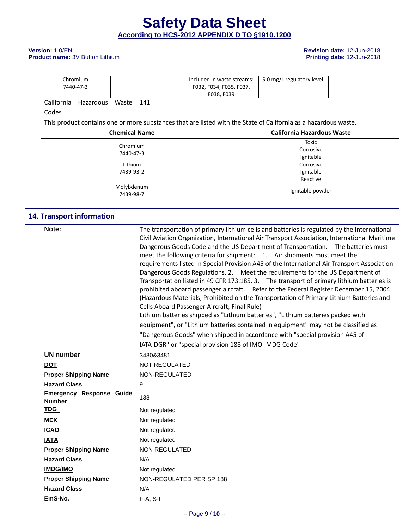#### **Version:** 1.0/EN **Product name:** 3V Button Lithium and the state of the state of the state of the state of the state of the state of the state of the state of the state of the state of the state of the state of the state **Product name:** 3V Button Lithium

| Chromium  | Included in waste streams: | 5.0 mg/L regulatory level |  |
|-----------|----------------------------|---------------------------|--|
| 7440-47-3 | F032, F034, F035, F037,    |                           |  |
|           | F038. F039                 |                           |  |

California Hazardous Waste 141

Codes

This product contains one or more substances that are listed with the State of California as a hazardous waste.

| <b>Chemical Name</b>    | <b>California Hazardous Waste</b>  |
|-------------------------|------------------------------------|
| Chromium<br>7440-47-3   | Toxic<br>Corrosive<br>Ignitable    |
| Lithium<br>7439-93-2    | Corrosive<br>Ignitable<br>Reactive |
| Molybdenum<br>7439-98-7 | Ignitable powder                   |

# **14. Transport information**

| Note:                           | The transportation of primary lithium cells and batteries is regulated by the International                                                                   |
|---------------------------------|---------------------------------------------------------------------------------------------------------------------------------------------------------------|
|                                 | Civil Aviation Organization, International Air Transport Association, International Maritime                                                                  |
|                                 | Dangerous Goods Code and the US Department of Transportation.  The batteries must<br>meet the following criteria for shipment: 1. Air shipments must meet the |
|                                 | requirements listed in Special Provision A45 of the International Air Transport Association                                                                   |
|                                 | Dangerous Goods Regulations. 2. Meet the requirements for the US Department of                                                                                |
|                                 | Transportation listed in 49 CFR 173.185. 3. The transport of primary lithium batteries is                                                                     |
|                                 | prohibited aboard passenger aircraft. Refer to the Federal Register December 15, 2004                                                                         |
|                                 | (Hazardous Materials; Prohibited on the Transportation of Primary Lithium Batteries and                                                                       |
|                                 | Cells Aboard Passenger Aircraft; Final Rule)                                                                                                                  |
|                                 | Lithium batteries shipped as "Lithium batteries", "Lithium batteries packed with                                                                              |
|                                 | equipment", or "Lithium batteries contained in equipment" may not be classified as                                                                            |
|                                 | "Dangerous Goods" when shipped in accordance with "special provision A45 of                                                                                   |
|                                 | IATA-DGR" or "special provision 188 of IMO-IMDG Code"                                                                                                         |
| <b>UN number</b>                | 3480&3481                                                                                                                                                     |
| <b>DOT</b>                      | <b>NOT REGULATED</b>                                                                                                                                          |
| <b>Proper Shipping Name</b>     | NON-REGULATED                                                                                                                                                 |
| <b>Hazard Class</b>             | 9                                                                                                                                                             |
| <b>Emergency Response Guide</b> | 138                                                                                                                                                           |
| <b>Number</b>                   |                                                                                                                                                               |
| <b>TDG</b>                      | Not regulated                                                                                                                                                 |
| <b>MEX</b>                      | Not regulated                                                                                                                                                 |
| <b>ICAO</b>                     | Not regulated                                                                                                                                                 |
| <b>IATA</b>                     | Not regulated                                                                                                                                                 |
| <b>Proper Shipping Name</b>     | <b>NON REGULATED</b>                                                                                                                                          |
| <b>Hazard Class</b>             | N/A                                                                                                                                                           |
| <b>IMDG/IMO</b>                 | Not regulated                                                                                                                                                 |
| <b>Proper Shipping Name</b>     | NON-REGULATED PER SP 188                                                                                                                                      |
| <b>Hazard Class</b>             | N/A                                                                                                                                                           |
| EmS-No.                         | $F-A, S-I$                                                                                                                                                    |
|                                 |                                                                                                                                                               |